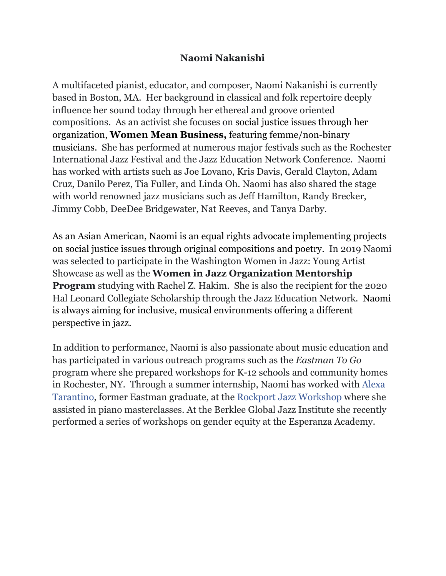## **Naomi Nakanishi**

A multifaceted pianist, educator, and composer, Naomi Nakanishi is currently based in Boston, MA. Her background in classical and folk repertoire deeply influence her sound today through her ethereal and groove oriented compositions. As an activist she focuses on social justice issues through her organization, **Women Mean Business,** featuring femme/non-binary musicians. She has performed at numerous major festivals such as the Rochester International Jazz Festival and the Jazz Education Network Conference. Naomi has worked with artists such as Joe Lovano, Kris Davis, Gerald Clayton, Adam Cruz, Danilo Perez, Tia Fuller, and Linda Oh. Naomi has also shared the stage with world renowned jazz musicians such as Jeff Hamilton, Randy Brecker, Jimmy Cobb, DeeDee Bridgewater, Nat Reeves, and Tanya Darby.

As an Asian American, Naomi is an equal rights advocate implementing projects on social justice issues through original compositions and poetry. In 2019 Naomi was selected to participate in the Washington Women in Jazz: Young Artist Showcase as well as the **Women in Jazz Organization Mentorship Program** studying with Rachel Z. Hakim. She is also the recipient for the 2020 Hal Leonard Collegiate Scholarship through the Jazz Education Network. Naomi is always aiming for inclusive, musical environments offering a different perspective in jazz.

In addition to performance, Naomi is also passionate about music education and has participated in various outreach programs such as the *Eastman To Go* program where she prepared workshops for K-12 schools and community homes in Rochester, NY. Through a summer internship, Naomi has worked with [Alexa](https://l.facebook.com/l.php?u=https%3A%2F%2Falexatarantino.com%2F%3Ffbclid%3DIwAR2ahWxMhSCzTrImAactADQXWjBXGyXkTYV4oKOpifOa380Hox1sTuB71yY&h=AT2gDqAtI78eCSYyqrjDYTuv2AybA3R5p4jdv0KW5SLPynnuP7Q2mIQnFkz1xSHc3rY3AHiOdetQsUEtNmVL__YEHH4RARdoOv7hcAnr15o3-IcuCdx27SmvlvvyjeThBRAOugKwhTI) [Tarantino](https://l.facebook.com/l.php?u=https%3A%2F%2Falexatarantino.com%2F%3Ffbclid%3DIwAR2ahWxMhSCzTrImAactADQXWjBXGyXkTYV4oKOpifOa380Hox1sTuB71yY&h=AT2gDqAtI78eCSYyqrjDYTuv2AybA3R5p4jdv0KW5SLPynnuP7Q2mIQnFkz1xSHc3rY3AHiOdetQsUEtNmVL__YEHH4RARdoOv7hcAnr15o3-IcuCdx27SmvlvvyjeThBRAOugKwhTI), former Eastman graduate, at the [R](https://l.facebook.com/l.php?u=https%3A%2F%2Fwww.instagram.com%2Frockportjazzworkshop%2F%3Ffbclid%3DIwAR3SY_AZKGj_hfzQ-c1UxQQAFUGE6kBjyuBM7TW1BGpr1-1XnhuzaWALn7w&h=AT3YbmTVabo6MXMThVDaRrHAeB--JYGJ7l0loSLdp1lqsadF8jkD1-jIDsme5-09UCT1kcpvVTLHIgnRHa9-2ryKurNYM_AkzJWfVvX9whM9BacgxBAbn1vyqPQNaGs5S-SEAaj6LSE)ockport Jazz [Workshop](https://l.facebook.com/l.php?u=https%3A%2F%2Fwww.instagram.com%2Frockportjazzworkshop%2F%3Ffbclid%3DIwAR3SY_AZKGj_hfzQ-c1UxQQAFUGE6kBjyuBM7TW1BGpr1-1XnhuzaWALn7w&h=AT3YbmTVabo6MXMThVDaRrHAeB--JYGJ7l0loSLdp1lqsadF8jkD1-jIDsme5-09UCT1kcpvVTLHIgnRHa9-2ryKurNYM_AkzJWfVvX9whM9BacgxBAbn1vyqPQNaGs5S-SEAaj6LSE) where she assisted in piano masterclasses. At the Berklee Global Jazz Institute she recently performed a series of workshops on gender equity at the Esperanza Academy.